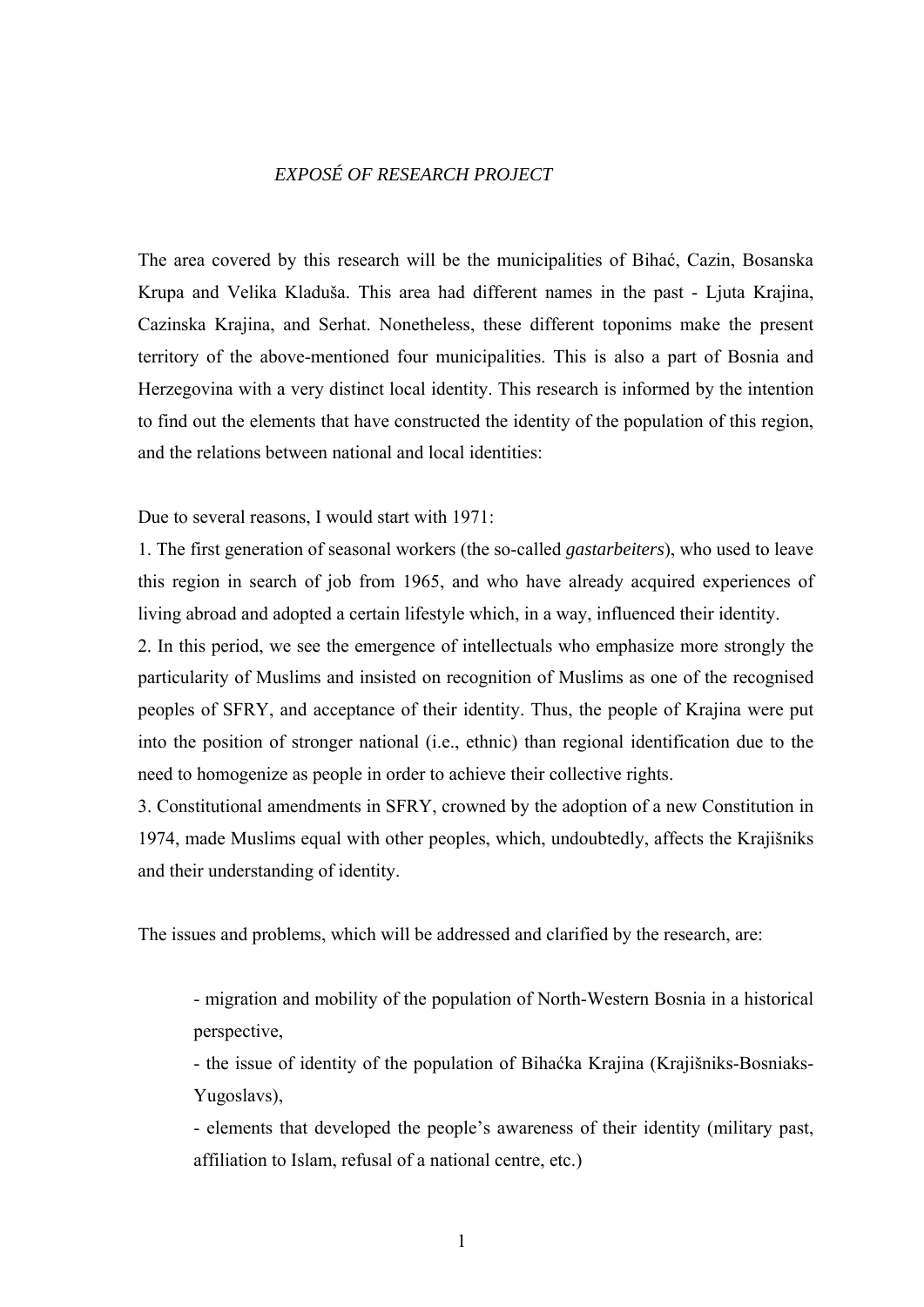## *EXPOSÉ OF RESEARCH PROJECT*

The area covered by this research will be the municipalities of Bihać, Cazin, Bosanska Krupa and Velika Kladuša. This area had different names in the past - Ljuta Krajina, Cazinska Krajina, and Serhat. Nonetheless, these different toponims make the present territory of the above-mentioned four municipalities. This is also a part of Bosnia and Herzegovina with a very distinct local identity. This research is informed by the intention to find out the elements that have constructed the identity of the population of this region, and the relations between national and local identities:

Due to several reasons, I would start with 1971:

1. The first generation of seasonal workers (the so-called *gastarbeiters*), who used to leave this region in search of job from 1965, and who have already acquired experiences of living abroad and adopted a certain lifestyle which, in a way, influenced their identity.

2. In this period, we see the emergence of intellectuals who emphasize more strongly the particularity of Muslims and insisted on recognition of Muslims as one of the recognised peoples of SFRY, and acceptance of their identity. Thus, the people of Krajina were put into the position of stronger national (i.e., ethnic) than regional identification due to the need to homogenize as people in order to achieve their collective rights.

3. Constitutional amendments in SFRY, crowned by the adoption of a new Constitution in 1974, made Muslims equal with other peoples, which, undoubtedly, affects the Krajišniks and their understanding of identity.

The issues and problems, which will be addressed and clarified by the research, are:

- migration and mobility of the population of North-Western Bosnia in a historical perspective,

- the issue of identity of the population of Bihaćka Krajina (Krajišniks-Bosniaks-Yugoslavs),

- elements that developed the people's awareness of their identity (military past, affiliation to Islam, refusal of a national centre, etc.)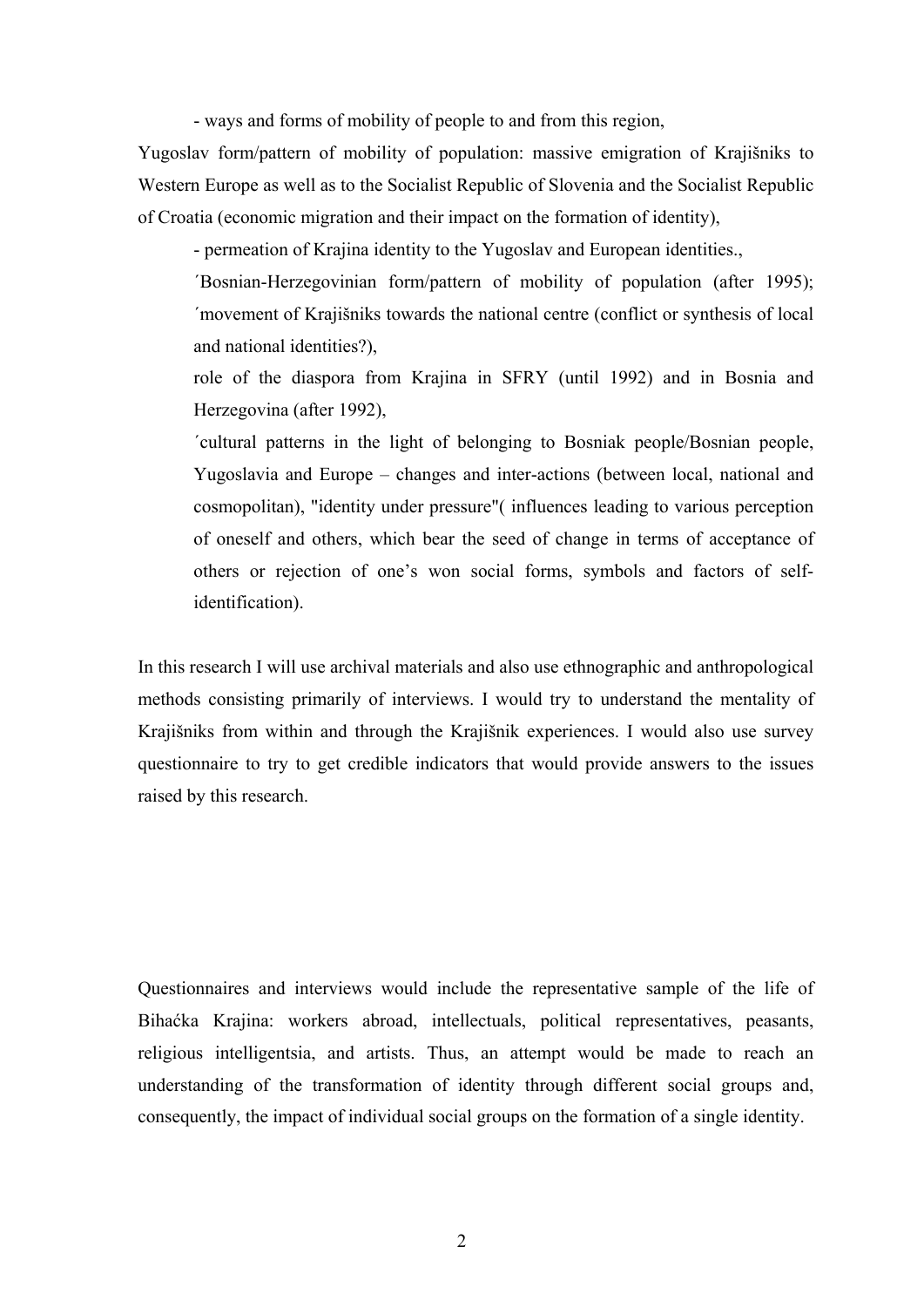- ways and forms of mobility of people to and from this region,

Yugoslav form/pattern of mobility of population: massive emigration of Krajišniks to Western Europe as well as to the Socialist Republic of Slovenia and the Socialist Republic of Croatia (economic migration and their impact on the formation of identity),

- permeation of Krajina identity to the Yugoslav and European identities.,

´Bosnian-Herzegovinian form/pattern of mobility of population (after 1995); ´movement of Krajišniks towards the national centre (conflict or synthesis of local and national identities?),

role of the diaspora from Krajina in SFRY (until 1992) and in Bosnia and Herzegovina (after 1992),

´cultural patterns in the light of belonging to Bosniak people/Bosnian people, Yugoslavia and Europe – changes and inter-actions (between local, national and cosmopolitan), "identity under pressure"( influences leading to various perception of oneself and others, which bear the seed of change in terms of acceptance of others or rejection of one's won social forms, symbols and factors of selfidentification).

In this research I will use archival materials and also use ethnographic and anthropological methods consisting primarily of interviews. I would try to understand the mentality of Krajišniks from within and through the Krajišnik experiences. I would also use survey questionnaire to try to get credible indicators that would provide answers to the issues raised by this research.

Questionnaires and interviews would include the representative sample of the life of Bihaćka Krajina: workers abroad, intellectuals, political representatives, peasants, religious intelligentsia, and artists. Thus, an attempt would be made to reach an understanding of the transformation of identity through different social groups and, consequently, the impact of individual social groups on the formation of a single identity.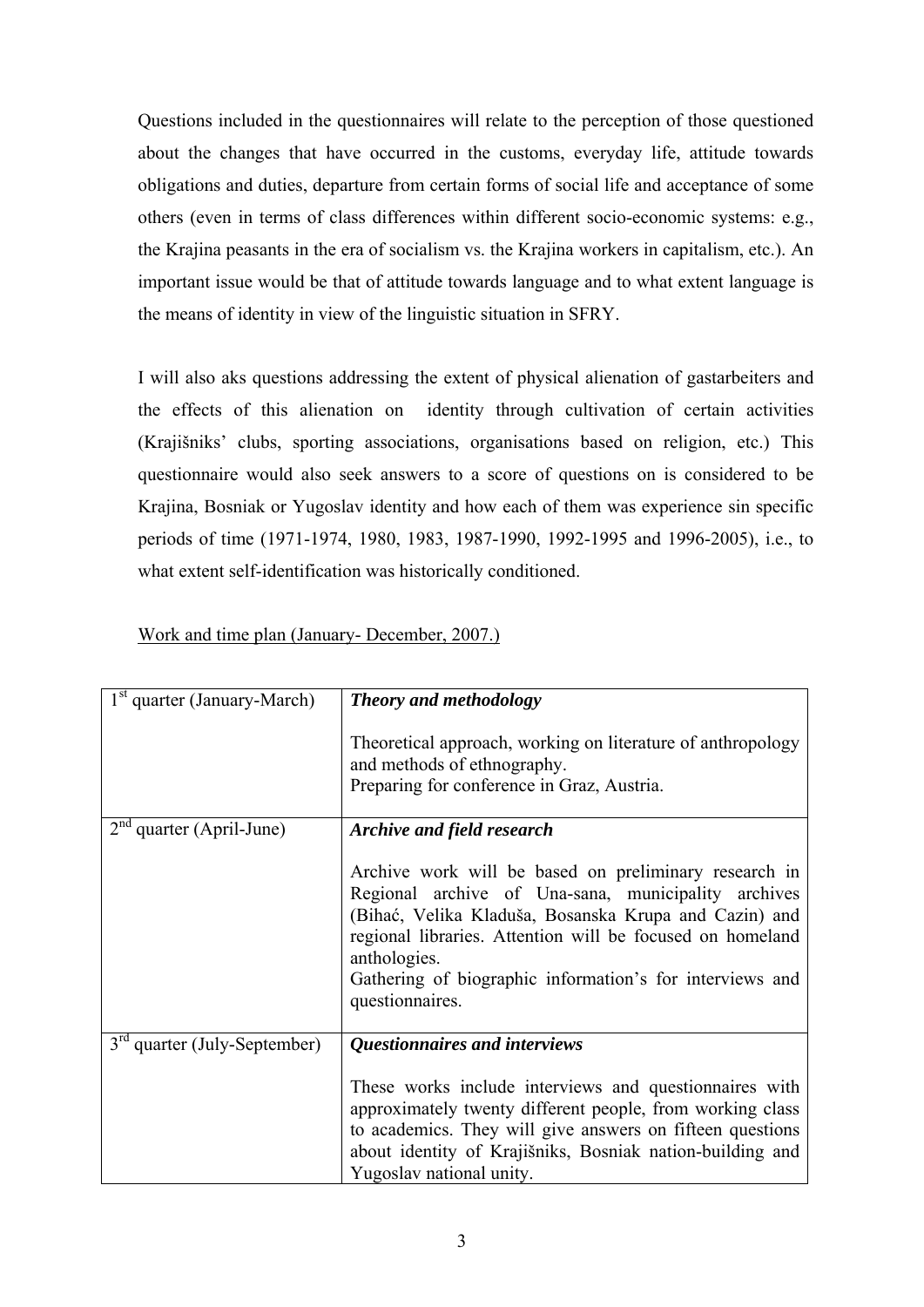Questions included in the questionnaires will relate to the perception of those questioned about the changes that have occurred in the customs, everyday life, attitude towards obligations and duties, departure from certain forms of social life and acceptance of some others (even in terms of class differences within different socio-economic systems: e.g., the Krajina peasants in the era of socialism vs. the Krajina workers in capitalism, etc.). An important issue would be that of attitude towards language and to what extent language is the means of identity in view of the linguistic situation in SFRY.

I will also aks questions addressing the extent of physical alienation of gastarbeiters and the effects of this alienation on identity through cultivation of certain activities (Krajišniks' clubs, sporting associations, organisations based on religion, etc.) This questionnaire would also seek answers to a score of questions on is considered to be Krajina, Bosniak or Yugoslav identity and how each of them was experience sin specific periods of time (1971-1974, 1980, 1983, 1987-1990, 1992-1995 and 1996-2005), i.e., to what extent self-identification was historically conditioned.

| 1 <sup>st</sup> quarter (January-March)     | <b>Theory and methodology</b>                                                                                                                                                                                                                                                                                                     |
|---------------------------------------------|-----------------------------------------------------------------------------------------------------------------------------------------------------------------------------------------------------------------------------------------------------------------------------------------------------------------------------------|
|                                             | Theoretical approach, working on literature of anthropology<br>and methods of ethnography.<br>Preparing for conference in Graz, Austria.                                                                                                                                                                                          |
| 2 <sup>nd</sup><br>quarter (April-June)     | <b>Archive and field research</b>                                                                                                                                                                                                                                                                                                 |
|                                             | Archive work will be based on preliminary research in<br>Regional archive of Una-sana, municipality archives<br>(Bihać, Velika Kladuša, Bosanska Krupa and Cazin) and<br>regional libraries. Attention will be focused on homeland<br>anthologies.<br>Gathering of biographic information's for interviews and<br>questionnaires. |
| $3^{\text{rd}}$<br>quarter (July-September) | Questionnaires and interviews                                                                                                                                                                                                                                                                                                     |
|                                             | These works include interviews and questionnaires with<br>approximately twenty different people, from working class<br>to academics. They will give answers on fifteen questions<br>about identity of Krajišniks, Bosniak nation-building and<br>Yugoslav national unity.                                                         |

## Work and time plan (January- December, 2007.)